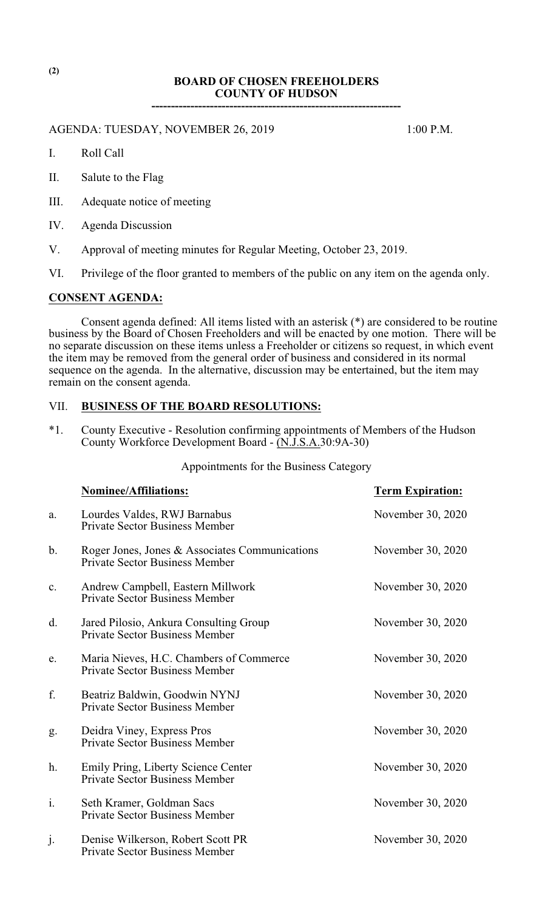# **BOARD OF CHOSEN FREEHOLDERS COUNTY OF HUDSON ----------------------------------------------------------------**

AGENDA: TUESDAY, NOVEMBER 26, 2019 1:00 P.M.

- I. Roll Call
- II. Salute to the Flag
- III. Adequate notice of meeting
- IV. Agenda Discussion
- V. Approval of meeting minutes for Regular Meeting, October 23, 2019.
- VI. Privilege of the floor granted to members of the public on any item on the agenda only.

## **CONSENT AGENDA:**

Consent agenda defined: All items listed with an asterisk (\*) are considered to be routine business by the Board of Chosen Freeholders and will be enacted by one motion. There will be no separate discussion on these items unless a Freeholder or citizens so request, in which event the item may be removed from the general order of business and considered in its normal sequence on the agenda. In the alternative, discussion may be entertained, but the item may remain on the consent agenda.

# VII. **BUSINESS OF THE BOARD RESOLUTIONS:**

\*1. County Executive - Resolution confirming appointments of Members of the Hudson County Workforce Development Board - (N.J.S.A.30:9A-30)

# Appointments for the Business Category

|    | <b>Nominee/Affiliations:</b>                                                            | <b>Term Expiration:</b> |
|----|-----------------------------------------------------------------------------------------|-------------------------|
| a. | Lourdes Valdes, RWJ Barnabus<br><b>Private Sector Business Member</b>                   | November 30, 2020       |
| b. | Roger Jones, Jones & Associates Communications<br><b>Private Sector Business Member</b> | November 30, 2020       |
| c. | Andrew Campbell, Eastern Millwork<br><b>Private Sector Business Member</b>              | November 30, 2020       |
| d. | Jared Pilosio, Ankura Consulting Group<br><b>Private Sector Business Member</b>         | November 30, 2020       |
| e. | Maria Nieves, H.C. Chambers of Commerce<br><b>Private Sector Business Member</b>        | November 30, 2020       |
| f. | Beatriz Baldwin, Goodwin NYNJ<br><b>Private Sector Business Member</b>                  | November 30, 2020       |
| g. | Deidra Viney, Express Pros<br><b>Private Sector Business Member</b>                     | November 30, 2020       |
| h. | Emily Pring, Liberty Science Center<br><b>Private Sector Business Member</b>            | November 30, 2020       |
| i. | Seth Kramer, Goldman Sacs<br><b>Private Sector Business Member</b>                      | November 30, 2020       |
| j. | Denise Wilkerson, Robert Scott PR<br><b>Private Sector Business Member</b>              | November 30, 2020       |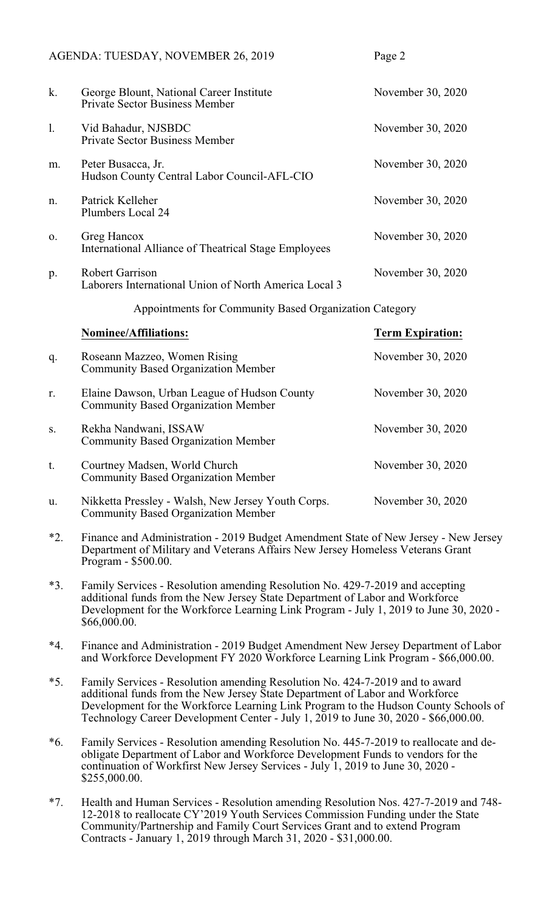|       | AGENDA: TUESDAY, NOVEMBER 26, 2019                                                                                                                                                                                                                                                                                                         | Page 2                  |  |
|-------|--------------------------------------------------------------------------------------------------------------------------------------------------------------------------------------------------------------------------------------------------------------------------------------------------------------------------------------------|-------------------------|--|
| k.    | George Blount, National Career Institute<br><b>Private Sector Business Member</b>                                                                                                                                                                                                                                                          | November 30, 2020       |  |
| 1.    | Vid Bahadur, NJSBDC<br><b>Private Sector Business Member</b>                                                                                                                                                                                                                                                                               | November 30, 2020       |  |
| m.    | Peter Busacca, Jr.<br>Hudson County Central Labor Council-AFL-CIO                                                                                                                                                                                                                                                                          | November 30, 2020       |  |
| n.    | Patrick Kelleher<br>Plumbers Local 24                                                                                                                                                                                                                                                                                                      | November 30, 2020       |  |
| 0.    | Greg Hancox<br><b>International Alliance of Theatrical Stage Employees</b>                                                                                                                                                                                                                                                                 | November 30, 2020       |  |
| p.    | <b>Robert Garrison</b><br>Laborers International Union of North America Local 3                                                                                                                                                                                                                                                            | November 30, 2020       |  |
|       | Appointments for Community Based Organization Category                                                                                                                                                                                                                                                                                     |                         |  |
|       | Nominee/Affiliations:                                                                                                                                                                                                                                                                                                                      | <b>Term Expiration:</b> |  |
| q.    | Roseann Mazzeo, Women Rising<br><b>Community Based Organization Member</b>                                                                                                                                                                                                                                                                 | November 30, 2020       |  |
| r.    | Elaine Dawson, Urban League of Hudson County<br><b>Community Based Organization Member</b>                                                                                                                                                                                                                                                 | November 30, 2020       |  |
| S.    | Rekha Nandwani, ISSAW<br><b>Community Based Organization Member</b>                                                                                                                                                                                                                                                                        | November 30, 2020       |  |
| t.    | Courtney Madsen, World Church<br><b>Community Based Organization Member</b>                                                                                                                                                                                                                                                                | November 30, 2020       |  |
| u.    | Nikketta Pressley - Walsh, New Jersey Youth Corps.<br><b>Community Based Organization Member</b>                                                                                                                                                                                                                                           | November 30, 2020       |  |
| $*2.$ | Finance and Administration - 2019 Budget Amendment State of New Jersey - New Jersey<br>Department of Military and Veterans Affairs New Jersey Homeless Veterans Grant<br>Program - \$500.00.                                                                                                                                               |                         |  |
| $*3.$ | Family Services - Resolution amending Resolution No. 429-7-2019 and accepting<br>additional funds from the New Jersey State Department of Labor and Workforce<br>Development for the Workforce Learning Link Program - July 1, 2019 to June 30, 2020 -<br>\$66,000.00.                                                                     |                         |  |
| $*4.$ | Finance and Administration - 2019 Budget Amendment New Jersey Department of Labor<br>and Workforce Development FY 2020 Workforce Learning Link Program - \$66,000.00.                                                                                                                                                                      |                         |  |
| $*5.$ | Family Services - Resolution amending Resolution No. 424-7-2019 and to award<br>additional funds from the New Jersey State Department of Labor and Workforce<br>Development for the Workforce Learning Link Program to the Hudson County Schools of<br>Technology Career Development Center - July 1, 2019 to June 30, 2020 - \$66,000.00. |                         |  |
|       | mily Couriosa. Resolution emending Resolution No. 445, 7, 2010 to realize to                                                                                                                                                                                                                                                               |                         |  |

- \*6. Family Services Resolution amending Resolution No. 445-7-2019 to reallocate and deobligate Department of Labor and Workforce Development Funds to vendors for the continuation of Workfirst New Jersey Services - July 1, 2019 to June 30, 2020 - \$255,000.00.
- \*7. Health and Human Services Resolution amending Resolution Nos. 427-7-2019 and 748- 12-2018 to reallocate CY'2019 Youth Services Commission Funding under the State Community/Partnership and Family Court Services Grant and to extend Program Contracts - January 1, 2019 through March 31, 2020 - \$31,000.00.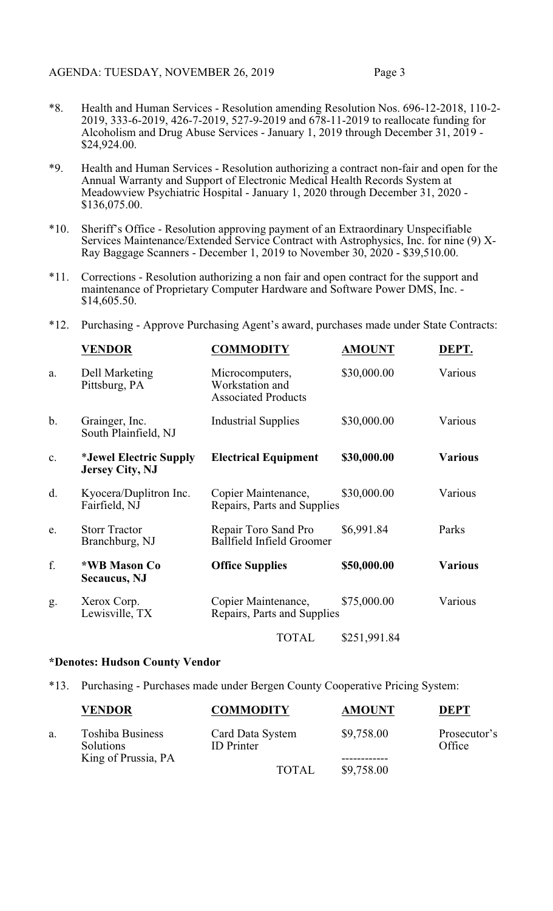- \*8. Health and Human Services Resolution amending Resolution Nos. 696-12-2018, 110-2- 2019, 333-6-2019, 426-7-2019, 527-9-2019 and 678-11-2019 to reallocate funding for Alcoholism and Drug Abuse Services - January 1, 2019 through December 31, 2019 - \$24,924.00.
- \*9. Health and Human Services Resolution authorizing a contract non-fair and open for the Annual Warranty and Support of Electronic Medical Health Records System at Meadowview Psychiatric Hospital - January 1, 2020 through December 31, 2020 - \$136,075.00.
- \*10. Sheriff's Office Resolution approving payment of an Extraordinary Unspecifiable Services Maintenance/Extended Service Contract with Astrophysics, Inc. for nine (9) X-Ray Baggage Scanners - December 1, 2019 to November 30, 2020 - \$39,510.00.
- \*11. Corrections Resolution authorizing a non fair and open contract for the support and maintenance of Proprietary Computer Hardware and Software Power DMS, Inc. - \$14,605.50.
- \*12. Purchasing Approve Purchasing Agent's award, purchases made under State Contracts:

|               | VENDOR                                                  | <b>COMMODITY</b>                                                 | <b>AMOUNT</b> | DEPT.          |
|---------------|---------------------------------------------------------|------------------------------------------------------------------|---------------|----------------|
| a.            | Dell Marketing<br>Pittsburg, PA                         | Microcomputers,<br>Workstation and<br><b>Associated Products</b> | \$30,000.00   | Various        |
| $\mathbf b$ . | Grainger, Inc.<br>South Plainfield, NJ                  | <b>Industrial Supplies</b>                                       | \$30,000.00   | Various        |
| c.            | <i>*Jewel Electric Supply</i><br><b>Jersey City, NJ</b> | <b>Electrical Equipment</b>                                      | \$30,000.00   | <b>Various</b> |
| d.            | Kyocera/Duplitron Inc.<br>Fairfield, NJ                 | Copier Maintenance,<br>Repairs, Parts and Supplies               | \$30,000.00   | Various        |
| e.            | <b>Storr Tractor</b><br>Branchburg, NJ                  | Repair Toro Sand Pro<br><b>Ballfield Infield Groomer</b>         | \$6,991.84    | Parks          |
| f.            | *WB Mason Co<br><b>Secaucus</b> , NJ                    | <b>Office Supplies</b>                                           | \$50,000.00   | <b>Various</b> |
| g.            | Xerox Corp.<br>Lewisville, TX                           | Copier Maintenance,<br>Repairs, Parts and Supplies               | \$75,000.00   | Various        |
|               |                                                         | <b>TOTAL</b>                                                     | \$251,991.84  |                |

## **\*Denotes: Hudson County Vendor**

\*13. Purchasing - Purchases made under Bergen County Cooperative Pricing System:

|    | <b>VENDOR</b>                                               | <b>COMMODITY</b>                      | <b>AMOUNT</b> | DEPT                   |
|----|-------------------------------------------------------------|---------------------------------------|---------------|------------------------|
| a. | <b>Toshiba Business</b><br>Solutions<br>King of Prussia, PA | Card Data System<br><b>ID</b> Printer | \$9,758.00    | Prosecutor's<br>Office |
|    |                                                             | <b>TOTAL</b>                          | \$9,758.00    |                        |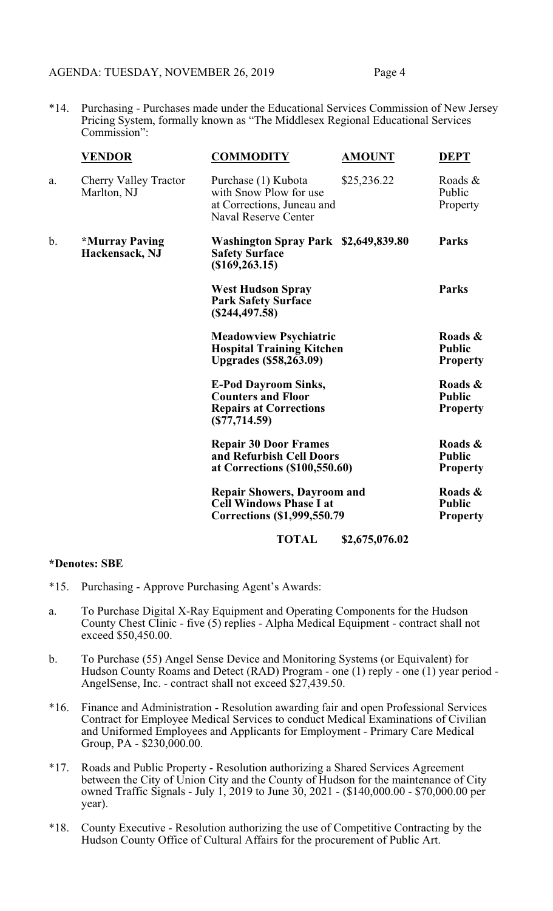# AGENDA: TUESDAY, NOVEMBER 26, 2019 Page 4

\*14. Purchasing - Purchases made under the Educational Services Commission of New Jersey Pricing System, formally known as "The Middlesex Regional Educational Services Commission":

|               | <b>VENDOR</b>                                  | <b>COMMODITY</b>                                                                                             | <b>AMOUNT</b>  | <b>DEPT</b>                                 |
|---------------|------------------------------------------------|--------------------------------------------------------------------------------------------------------------|----------------|---------------------------------------------|
| a.            | Cherry Valley Tractor<br>Marlton, NJ           | Purchase (1) Kubota<br>with Snow Plow for use<br>at Corrections, Juneau and<br><b>Naval Reserve Center</b>   | \$25,236.22    | Roads &<br>Public<br>Property               |
| $\mathbf b$ . | <i><b>*Murray Paving</b></i><br>Hackensack, NJ | Washington Spray Park \$2,649,839.80<br><b>Safety Surface</b><br>(\$169, 263.15)                             |                | <b>Parks</b>                                |
|               |                                                | <b>West Hudson Spray</b><br><b>Park Safety Surface</b><br>(S244, 497.58)                                     |                | <b>Parks</b>                                |
|               |                                                | <b>Meadowview Psychiatric</b><br><b>Hospital Training Kitchen</b><br><b>Upgrades (\$58,263.09)</b>           |                | Roads &<br><b>Public</b><br><b>Property</b> |
|               |                                                | <b>E-Pod Dayroom Sinks,</b><br><b>Counters and Floor</b><br><b>Repairs at Corrections</b><br>$(\$77,714.59)$ |                | Roads &<br><b>Public</b><br><b>Property</b> |
|               |                                                | <b>Repair 30 Door Frames</b><br>and Refurbish Cell Doors<br>at Corrections (\$100,550.60)                    |                | Roads &<br><b>Public</b><br><b>Property</b> |
|               |                                                | <b>Repair Showers, Dayroom and</b><br><b>Cell Windows Phase I at</b><br>Corrections (\$1,999,550.79)         |                | Roads &<br><b>Public</b><br><b>Property</b> |
|               |                                                | <b>TOTAL</b>                                                                                                 | \$2,675,076.02 |                                             |

## **\*Denotes: SBE**

- \*15. Purchasing Approve Purchasing Agent's Awards:
- a. To Purchase Digital X-Ray Equipment and Operating Components for the Hudson County Chest Clinic - five (5) replies - Alpha Medical Equipment - contract shall not exceed \$50,450.00.
- b. To Purchase (55) Angel Sense Device and Monitoring Systems (or Equivalent) for Hudson County Roams and Detect (RAD) Program - one (1) reply - one (1) year period - AngelSense, Inc. - contract shall not exceed \$27,439.50.
- \*16. Finance and Administration Resolution awarding fair and open Professional Services Contract for Employee Medical Services to conduct Medical Examinations of Civilian and Uniformed Employees and Applicants for Employment - Primary Care Medical Group, PA - \$230,000.00.
- \*17. Roads and Public Property Resolution authorizing a Shared Services Agreement between the City of Union City and the County of Hudson for the maintenance of City owned Traffic Signals - July 1, 2019 to June 30, 2021 - (\$140,000.00 - \$70,000.00 per year).
- \*18. County Executive Resolution authorizing the use of Competitive Contracting by the Hudson County Office of Cultural Affairs for the procurement of Public Art.